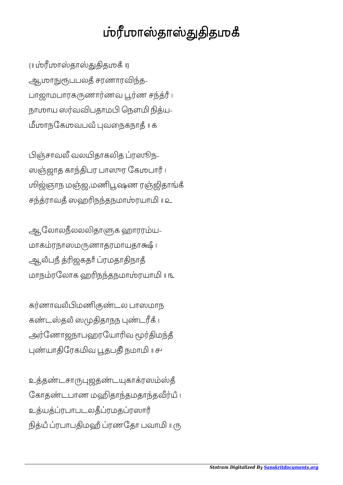## ஶ்ரீமாஸ்தாஸ்துதிதமுகீ

{॥ ஶாதாதஶகஂ ॥} ஆமாநுரூபபலதீ சரணாரவிந்த-பாஜாமபாரகருணார்ணவ பூர்ண சந்த்ரீ ၊ நாமாய ஸர்வவிபதாமபி நௌமி நித்ய-மீமாநகேமவபவீ புவநைகநாதீ ॥ க

பிஞ்சாவலீ வலயிதாகலித ப்ரஸூந-ஸஞ்ஜாத காந்திபர பாஸுர கேமபார் ၊ மிஜ்ஞாந மஞ்ஜ மணிபூஷண ரஞ்ஜிதாங்கீ சராவதஂ ஸஹநதநமாரயா ॥ ௨

ஆலோலநீலலலிதாளுக ஹாரரம்ய-மாகம்ரநாஸமருணாதரமாயதாக்ஷீ । ஆலீபநீ த்ரிஜகதாீ ப்ரமதாதிநாதீ மாநரேலாக ஹநதநமாரயா ॥ ௩

கர்ணாவலீபிமணிகுண்டல பாஸமாந கண்டஸ்தலீ ஸமுதிதாநந புண்டரீக் ၊ அர்ணோஜநாபஹரயோரிவ மூர்திமந்தீ யாேரகவ தபஂ நமா ॥ ௪

உத்தண்டசாருபுஜதண்டயுகாக்ரஸம்ஸ்தீ கோதண்டபாண மஹிதாந்தமதாந்தவீர்யீ ၊ உத்யத்ப்ரபாபடலதீப்ரமதப்ரஸார் நித்யீ ப்ரபாபதிமஹீ ப்ரணதோ பவாமி ။ ரு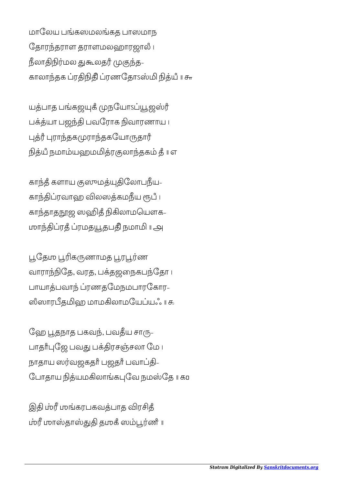மாலேய பங்கஸமலங்கத பாஸமாந ேதாரதராள தராளமலஹாரஜாலஂ । நீலாதிநிர்மல துகூலதர் முகுந்த-காலாந்தக ப்ரதிநிதி ப்ரணதோsஸ்மி நித்யீ <mark>။</mark> சு

யத்பாத பங்கஜயுகீ முநயோேப்யூஜஸ்ரீ பக்த்யா பஜந்தி பவரோக நிவாரணாய ၊ புத்ரீ புராந்தகமுராந்தகயோருதார் நித்யீ நமாம்யஹமமித்ரகுலாந்தகம் தீ ။ எ

காந்தீ களாய குஸுமத்யுதிலோபநீய-காந்திப்ரவாஹ விலஸத்கமநீய ரூபீ ၊ காந்தாதநூஜ ஸஹிதீ நிகிலாமயௌக-ஶாரதஂ ரமததபஂ நமா ॥ ௮

பூதேம் பூரிகருணாமத பூரபூர்ண வாராந்நிதே, வரத, பக்தஜநைகபந்தோ ப பாயாத்பவாந் ப்ரணதமேநமபாரகோர-ஸீஸாரபீதமிஹ மாமகிலாமயேப்யஃ ။ கூ

ஹே பூதநாத பகவந், பவதீய சாரு-பாதாீபுஜே பவது பக்திரசஞ்சலா மே ப நாதாய ஸர்வஜகதாீ பஜதாீ பவாப்தி-யோதாய நித்யமகிலாங்கபுவே நமஸ்தே ॥ கம

இதி ம்ரீ மங்கரபகவத்பாத விரசித் ம்ரீ மாஸ்தாஸ்துதி தமூகீ ஸம்பூர்ணீ ။